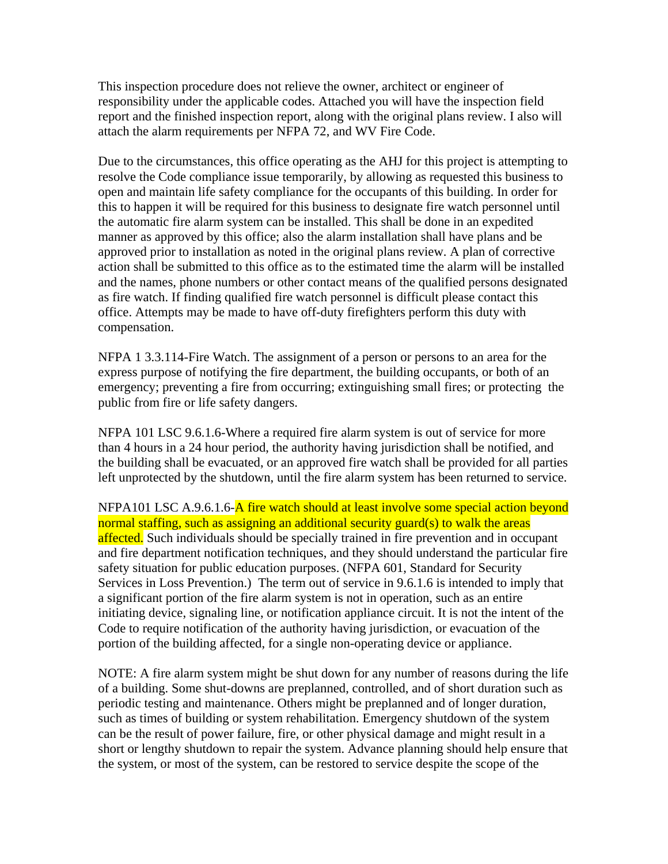This inspection procedure does not relieve the owner, architect or engineer of responsibility under the applicable codes. Attached you will have the inspection field report and the finished inspection report, along with the original plans review. I also will attach the alarm requirements per NFPA 72, and WV Fire Code.

Due to the circumstances, this office operating as the AHJ for this project is attempting to resolve the Code compliance issue temporarily, by allowing as requested this business to open and maintain life safety compliance for the occupants of this building. In order for this to happen it will be required for this business to designate fire watch personnel until the automatic fire alarm system can be installed. This shall be done in an expedited manner as approved by this office; also the alarm installation shall have plans and be approved prior to installation as noted in the original plans review. A plan of corrective action shall be submitted to this office as to the estimated time the alarm will be installed and the names, phone numbers or other contact means of the qualified persons designated as fire watch. If finding qualified fire watch personnel is difficult please contact this office. Attempts may be made to have off-duty firefighters perform this duty with compensation.

NFPA 1 3.3.114-Fire Watch. The assignment of a person or persons to an area for the express purpose of notifying the fire department, the building occupants, or both of an emergency; preventing a fire from occurring; extinguishing small fires; or protecting the public from fire or life safety dangers.

NFPA 101 LSC 9.6.1.6-Where a required fire alarm system is out of service for more than 4 hours in a 24 hour period, the authority having jurisdiction shall be notified, and the building shall be evacuated, or an approved fire watch shall be provided for all parties left unprotected by the shutdown, until the fire alarm system has been returned to service.

NFPA101 LSC A.9.6.1.6-A fire watch should at least involve some special action beyond normal staffing, such as assigning an additional security guard(s) to walk the areas affected. Such individuals should be specially trained in fire prevention and in occupant and fire department notification techniques, and they should understand the particular fire safety situation for public education purposes. (NFPA 601, Standard for Security Services in Loss Prevention.) The term out of service in 9.6.1.6 is intended to imply that a significant portion of the fire alarm system is not in operation, such as an entire initiating device, signaling line, or notification appliance circuit. It is not the intent of the Code to require notification of the authority having jurisdiction, or evacuation of the portion of the building affected, for a single non-operating device or appliance.

NOTE: A fire alarm system might be shut down for any number of reasons during the life of a building. Some shut-downs are preplanned, controlled, and of short duration such as periodic testing and maintenance. Others might be preplanned and of longer duration, such as times of building or system rehabilitation. Emergency shutdown of the system can be the result of power failure, fire, or other physical damage and might result in a short or lengthy shutdown to repair the system. Advance planning should help ensure that the system, or most of the system, can be restored to service despite the scope of the